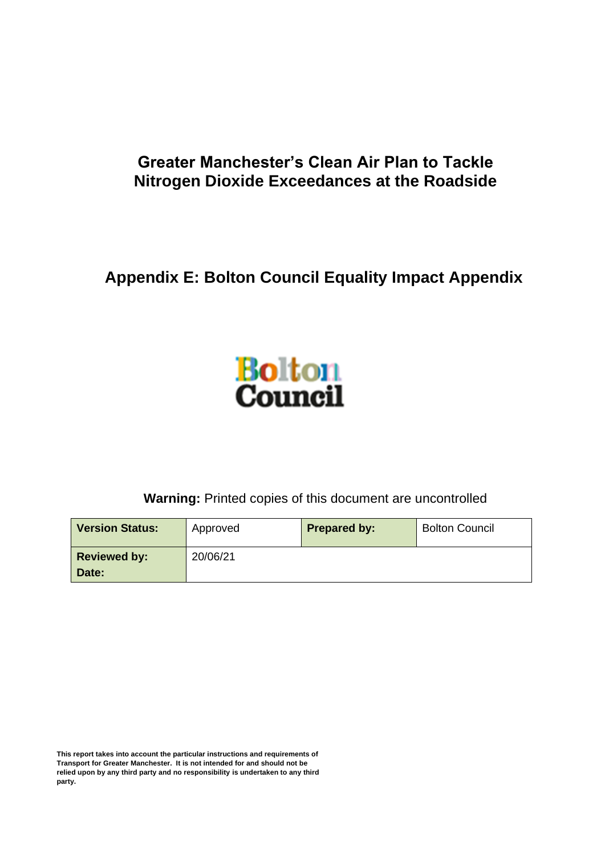## **Greater Manchester's Clean Air Plan to Tackle Nitrogen Dioxide Exceedances at the Roadside**

**Appendix E: Bolton Council Equality Impact Appendix**



**Warning:** Printed copies of this document are uncontrolled

| <b>Version Status:</b> | Approved | <b>Prepared by:</b> | <b>Bolton Council</b> |
|------------------------|----------|---------------------|-----------------------|
| <b>Reviewed by:</b>    | 20/06/21 |                     |                       |
| Date:                  |          |                     |                       |

**This report takes into account the particular instructions and requirements of Transport for Greater Manchester. It is not intended for and should not be relied upon by any third party and no responsibility is undertaken to any third party.**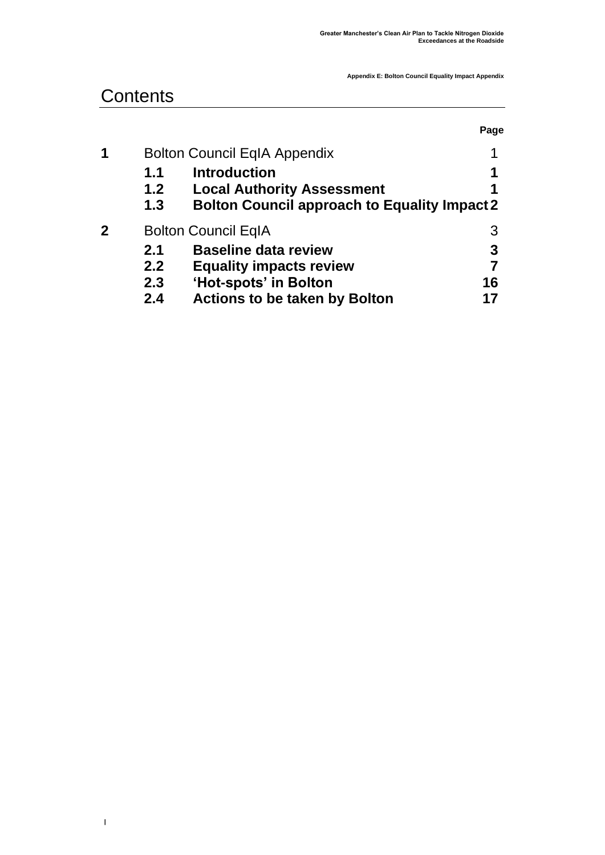## **Contents**

**|** 

|             |     |                                                     | Page |
|-------------|-----|-----------------------------------------------------|------|
| 1           |     | <b>Bolton Council EqIA Appendix</b>                 | 1    |
|             | 1.1 | <b>Introduction</b>                                 | 1    |
|             | 1.2 | <b>Local Authority Assessment</b>                   |      |
|             | 1.3 | <b>Bolton Council approach to Equality Impact 2</b> |      |
| $\mathbf 2$ |     | <b>Bolton Council EqIA</b>                          | 3    |
|             | 2.1 | <b>Baseline data review</b>                         | 3    |
|             | 2.2 | <b>Equality impacts review</b>                      |      |
|             | 2.3 | 'Hot-spots' in Bolton                               | 16   |
|             | 2.4 | <b>Actions to be taken by Bolton</b>                |      |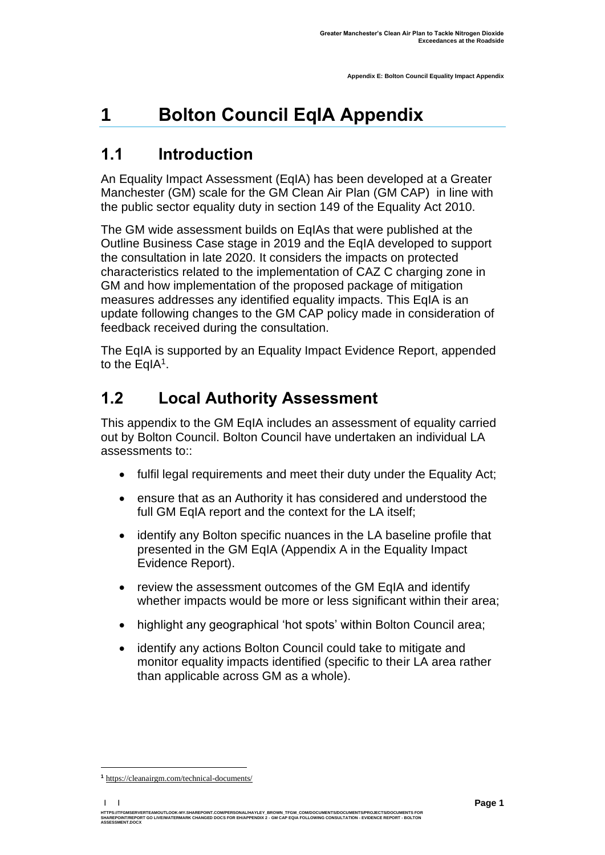# <span id="page-2-0"></span>**1 Bolton Council EqIA Appendix**

## <span id="page-2-1"></span>**1.1 Introduction**

An Equality Impact Assessment (EqIA) has been developed at a Greater Manchester (GM) scale for the GM Clean Air Plan (GM CAP) in line with the public sector equality duty in section 149 of the Equality Act 2010.

The GM wide assessment builds on EqIAs that were published at the Outline Business Case stage in 2019 and the EqIA developed to support the consultation in late 2020. It considers the impacts on protected characteristics related to the implementation of CAZ C charging zone in GM and how implementation of the proposed package of mitigation measures addresses any identified equality impacts. This EqIA is an update following changes to the GM CAP policy made in consideration of feedback received during the consultation.

The EqIA is supported by an Equality Impact Evidence Report, appended to the EqIA<sup>1</sup>.

## <span id="page-2-2"></span>**1.2 Local Authority Assessment**

This appendix to the GM EqIA includes an assessment of equality carried out by Bolton Council. Bolton Council have undertaken an individual LA assessments to::

- fulfil legal requirements and meet their duty under the Equality Act;
- ensure that as an Authority it has considered and understood the full GM EqIA report and the context for the LA itself;
- identify any Bolton specific nuances in the LA baseline profile that presented in the GM EqIA (Appendix A in the Equality Impact Evidence Report).
- review the assessment outcomes of the GM EqIA and identify whether impacts would be more or less significant within their area;
- highlight any geographical 'hot spots' within Bolton Council area;
- identify any actions Bolton Council could take to mitigate and monitor equality impacts identified (specific to their LA area rather than applicable across GM as a whole).

**| |**  HTTPS://TFGMSERVERTEAMOUTLOOK-MY.SHAREPOINT.COM/PERSONAL/HAYLEY\_BROWN\_TFGM\_COM/DOCUMENTS/DOCUMENTS/PROJECTS/DOCUMENTS FOR<br>SHAREPOINT/REPORT GO LIVE/WATERMARK CHANGED DOCS FOR EH/APPENDIX 2 - GM CAP EQIA FOLLOWING CONSULTAT **ASSESSMENT.DOCX** 

**<sup>1</sup>** [https://cleanairgm.com/technical-documents/](https://secure-web.cisco.com/11eiBCgElauzNx9ZLncgJx3iOubmp4VtcvvkdlhxY65RKvTbIb59-L2ncr8SElltrd2x-6LbEl4KMsTTxIe3wkMOtRdF_mwDnnUw_pzGQZOwSRIhPJyQIZ8Yp6BpEAcNSn8Ts-zUMkCwwKuuZ6JqlhO90pJazjetwe6gKhLVIM_BswP0PQmXUeuqGyGpWdmieI8qM86OywsW2Ih1TXBkADjvPWBAW0J67oLJLyOi-5a-P-uw5qxFWy4jV1Rgj27aX74mWEA8RmcCJF_QiJniWV9Y7vnNRmfIdielNKILyTnV3ChPut5AXlpom2ThMoaDynN4YcMw9M5bXrEI6WdmDFg/https%3A%2F%2Furl4.mailanyone.net%2Fv1%2F%3Fm%3D1lqaQa-0007kg-3t%26i%3D57e1b682%26c%3Dwx7pouswT3bJs4LPeETsz86q7Q_0OC56XXhe7DlJDibGRSGR8fdmSomeuSdI7C2Fa0eQbaAqoLXhP95flvC3e_rUhnBjBiD8llf9LaF4ZtCjfFRgnR8YVM3huSJaCGnICk94fttlvHc5puWw5cDJWXKncROEJUpzHqnxCBOtlS83l3-sjgML-pIcbUhAQZELxzuJu6c3812_3lnwQAbyYwgocO5Fara8d5TyMQqiWW6tNZcZXXghiSlVoISAGQRmsZ-TU8nVqIdM3Z7LyV0OBSLL4yenFqLa1SDyZM36c6L9Rv_9RwvC_zO8-ja9EEmp3RuaxQ4iKqu8pID_qRBxLRB9hKR0Yp8TjK3AxZQfI6W6JX6ff_FKZIssUgNuX4h8fgWjXtS31MSzgcKKD5htCOS8RNiJG7hqFaezCADs1zqfd5YI5KwtXyQV8Xcw9c04dqUU3rtH6b_zGkplrYZzi_tw5Uh0gVH_yDQ0aze-YmaYOmPe-7DcIOn3tcJzyPAzyNqQZKCfP-i1oh349NtnaY_1gjK4qs0hRBa9R9D0kEGpaGRFokA16JTCjrnHuvRgs7DcM7Fi3nDdrs6xiFxYb34O5EIVstmWMeA67C4pmsqoQ4hX3-rUnQd3vI35GAzQJzJxEsp-QxLb4UU4coOA_r80VNAaur_GF4G4X8lvmN0gEZ3Wu5QzUhFNsj4TCOgSucH17LnJrJVLTZfksCAbTQ)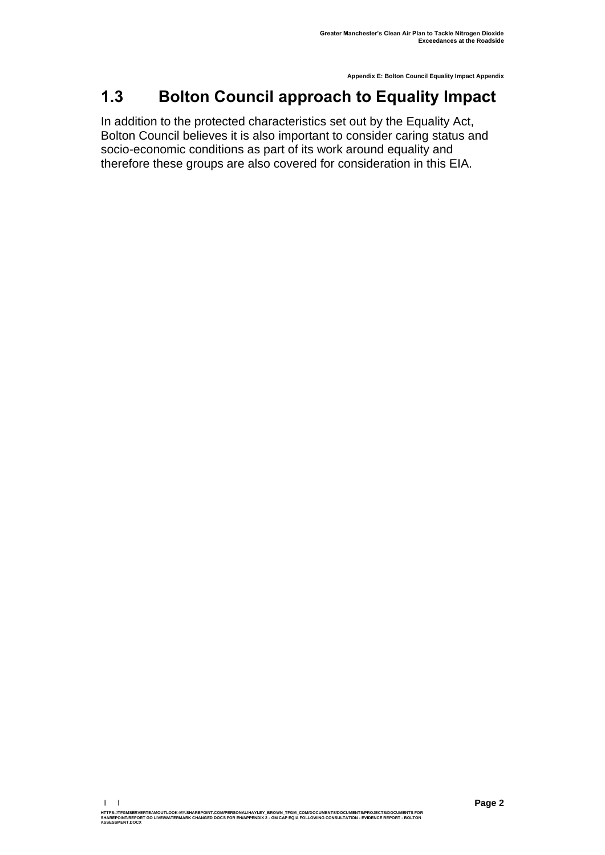## <span id="page-3-0"></span>**1.3 Bolton Council approach to Equality Impact**

In addition to the protected characteristics set out by the Equality Act, Bolton Council believes it is also important to consider caring status and socio-economic conditions as part of its work around equality and therefore these groups are also covered for consideration in this EIA.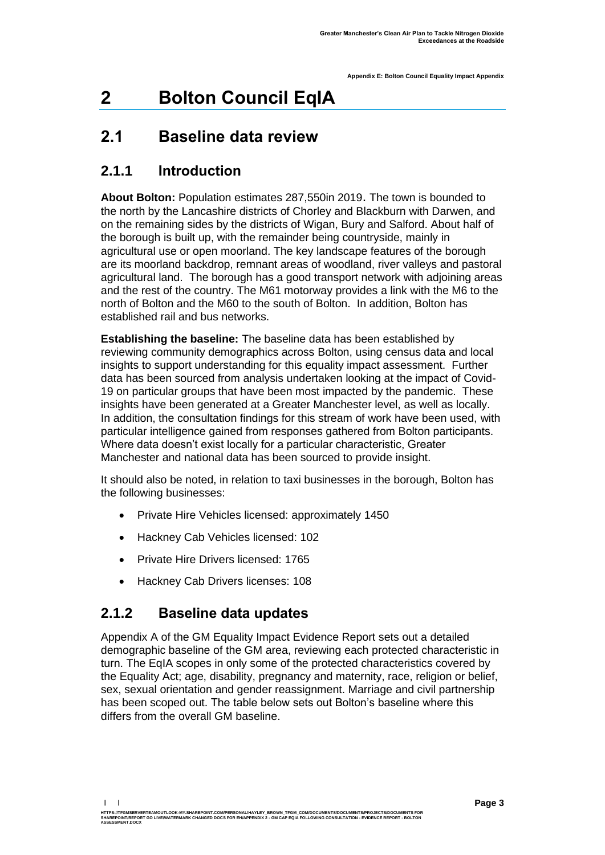# <span id="page-4-0"></span>**2 Bolton Council EqIA**

## <span id="page-4-1"></span>**2.1 Baseline data review**

### **2.1.1 Introduction**

**About Bolton:** Population estimates 287,550in 2019. The town is bounded to the north by the Lancashire districts of Chorley and Blackburn with Darwen, and on the remaining sides by the districts of Wigan, Bury and Salford. About half of the borough is built up, with the remainder being countryside, mainly in agricultural use or open moorland. The key landscape features of the borough are its moorland backdrop, remnant areas of woodland, river valleys and pastoral agricultural land. The borough has a good transport network with adjoining areas and the rest of the country. The M61 motorway provides a link with the M6 to the north of Bolton and the M60 to the south of Bolton. In addition, Bolton has established rail and bus networks.

**Establishing the baseline:** The baseline data has been established by reviewing community demographics across Bolton, using census data and local insights to support understanding for this equality impact assessment. Further data has been sourced from analysis undertaken looking at the impact of Covid-19 on particular groups that have been most impacted by the pandemic. These insights have been generated at a Greater Manchester level, as well as locally. In addition, the consultation findings for this stream of work have been used, with particular intelligence gained from responses gathered from Bolton participants. Where data doesn't exist locally for a particular characteristic, Greater Manchester and national data has been sourced to provide insight.

It should also be noted, in relation to taxi businesses in the borough, Bolton has the following businesses:

- Private Hire Vehicles licensed: approximately 1450
- Hackney Cab Vehicles licensed: 102
- Private Hire Drivers licensed: 1765
- Hackney Cab Drivers licenses: 108

### **2.1.2 Baseline data updates**

Appendix A of the GM Equality Impact Evidence Report sets out a detailed demographic baseline of the GM area, reviewing each protected characteristic in turn. The EqIA scopes in only some of the protected characteristics covered by the Equality Act; age, disability, pregnancy and maternity, race, religion or belief, sex, sexual orientation and gender reassignment. Marriage and civil partnership has been scoped out. The table below sets out Bolton's baseline where this differs from the overall GM baseline.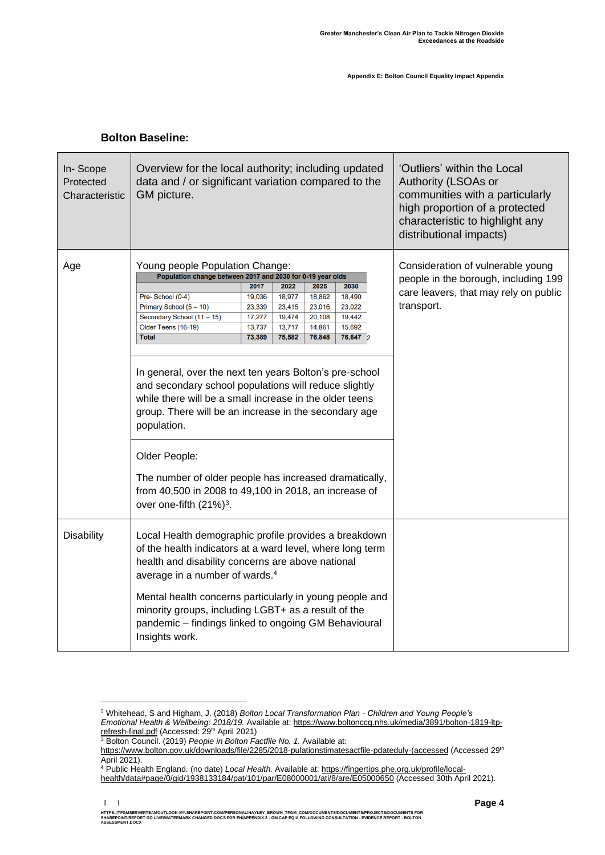|  | <b>Bolton Baseline:</b> |
|--|-------------------------|
|--|-------------------------|

| Overview for the local authority; including updated<br>data and / or significant variation compared to the<br>GM picture.                                                                                                                                                                                                                                                                                         |                                                                                           |                                                        |                                                                                                                      |                                                         |  |  |  |
|-------------------------------------------------------------------------------------------------------------------------------------------------------------------------------------------------------------------------------------------------------------------------------------------------------------------------------------------------------------------------------------------------------------------|-------------------------------------------------------------------------------------------|--------------------------------------------------------|----------------------------------------------------------------------------------------------------------------------|---------------------------------------------------------|--|--|--|
|                                                                                                                                                                                                                                                                                                                                                                                                                   |                                                                                           |                                                        |                                                                                                                      | Consideration of vulnerable young                       |  |  |  |
|                                                                                                                                                                                                                                                                                                                                                                                                                   |                                                                                           |                                                        |                                                                                                                      | people in the borough, including 199                    |  |  |  |
|                                                                                                                                                                                                                                                                                                                                                                                                                   |                                                                                           |                                                        |                                                                                                                      | care leavers, that may rely on public                   |  |  |  |
|                                                                                                                                                                                                                                                                                                                                                                                                                   |                                                                                           |                                                        |                                                                                                                      |                                                         |  |  |  |
|                                                                                                                                                                                                                                                                                                                                                                                                                   |                                                                                           |                                                        |                                                                                                                      | transport.                                              |  |  |  |
|                                                                                                                                                                                                                                                                                                                                                                                                                   |                                                                                           |                                                        |                                                                                                                      |                                                         |  |  |  |
|                                                                                                                                                                                                                                                                                                                                                                                                                   |                                                                                           |                                                        |                                                                                                                      |                                                         |  |  |  |
|                                                                                                                                                                                                                                                                                                                                                                                                                   |                                                                                           |                                                        |                                                                                                                      |                                                         |  |  |  |
| and secondary school populations will reduce slightly<br>while there will be a small increase in the older teens<br>group. There will be an increase in the secondary age<br>population.<br>Older People:<br>The number of older people has increased dramatically,<br>from 40,500 in 2008 to 49,100 in 2018, an increase of<br>over one-fifth (21%) <sup>3</sup> .                                               |                                                                                           |                                                        |                                                                                                                      |                                                         |  |  |  |
| Local Health demographic profile provides a breakdown<br>of the health indicators at a ward level, where long term<br>health and disability concerns are above national<br>average in a number of wards. <sup>4</sup><br>Mental health concerns particularly in young people and<br>minority groups, including LGBT+ as a result of the<br>pandemic - findings linked to ongoing GM Behavioural<br>Insights work. |                                                                                           |                                                        |                                                                                                                      |                                                         |  |  |  |
| 17,277<br>13,737                                                                                                                                                                                                                                                                                                                                                                                                  | Young people Population Change:<br>2022<br>18,977<br>23,415<br>19,474<br>13,717<br>75,582 | 2025<br>18,862<br>23,016<br>20,108<br>14,861<br>76,848 | Population change between 2017 and 2030 for 0-19 year olds<br>2030<br>18,490<br>23,022<br>19,442<br>15,692<br>76,647 | In general, over the next ten years Bolton's pre-school |  |  |  |

<sup>2</sup> Whitehead, S and Higham, J. (2018) *Bolton Local Transformation Plan - Children and Young People's Emotional Health & Wellbeing: 2018/19.* Available at[: https://www.boltonccg.nhs.uk/media/3891/bolton-1819-ltp](https://www.boltonccg.nhs.uk/media/3891/bolton-1819-ltp-refresh-final.pdf)[refresh-final.pdf](https://www.boltonccg.nhs.uk/media/3891/bolton-1819-ltp-refresh-final.pdf) (Accessed: 29<sup>th</sup> April 2021)

<sup>3</sup> Bolton Council. (2019) *People in Bolton Factfile No. 1.* Available at:

[https://www.bolton.gov.uk/downloads/file/2285/2018-pulationstimatesactfile-pdateduly-\(accessed](https://www.bolton.gov.uk/downloads/file/2285/2018-pulationstimatesactfile-pdateduly-(accessed) (Accessed 29<sup>th</sup> April 2021).

**<sup>4</sup>** Public Health England. (no date) *Local Health.* Available at: [https://fingertips.phe.org.uk/profile/local-](https://fingertips.phe.org.uk/profile/local-health/data#page/0/gid/1938133184/pat/101/par/E08000001/ati/8/are/E05000650)

[health/data#page/0/gid/1938133184/pat/101/par/E08000001/ati/8/are/E05000650](https://fingertips.phe.org.uk/profile/local-health/data#page/0/gid/1938133184/pat/101/par/E08000001/ati/8/are/E05000650) (Accessed 30th April 2021).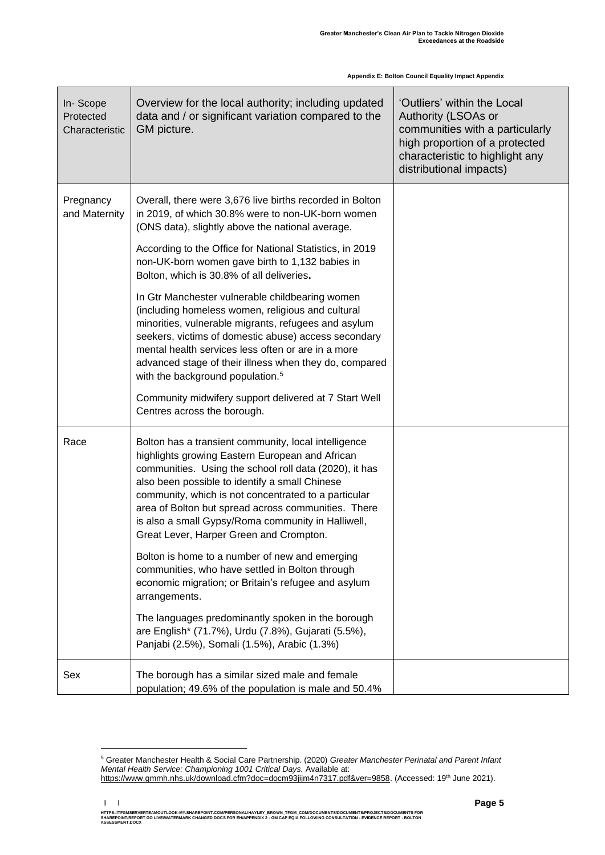| In-Scope<br>Protected<br>Characteristic | Overview for the local authority; including updated<br>data and / or significant variation compared to the<br>GM picture.                                                                                                                                                                                                                                                                                                                                                                                                                                                                                                                                                                                                                                                                                     | 'Outliers' within the Local<br>Authority (LSOAs or<br>communities with a particularly<br>high proportion of a protected<br>characteristic to highlight any<br>distributional impacts) |
|-----------------------------------------|---------------------------------------------------------------------------------------------------------------------------------------------------------------------------------------------------------------------------------------------------------------------------------------------------------------------------------------------------------------------------------------------------------------------------------------------------------------------------------------------------------------------------------------------------------------------------------------------------------------------------------------------------------------------------------------------------------------------------------------------------------------------------------------------------------------|---------------------------------------------------------------------------------------------------------------------------------------------------------------------------------------|
| Pregnancy<br>and Maternity              | Overall, there were 3,676 live births recorded in Bolton<br>in 2019, of which 30.8% were to non-UK-born women<br>(ONS data), slightly above the national average.<br>According to the Office for National Statistics, in 2019<br>non-UK-born women gave birth to 1,132 babies in<br>Bolton, which is 30.8% of all deliveries.<br>In Gtr Manchester vulnerable childbearing women<br>(including homeless women, religious and cultural<br>minorities, vulnerable migrants, refugees and asylum<br>seekers, victims of domestic abuse) access secondary<br>mental health services less often or are in a more<br>advanced stage of their illness when they do, compared<br>with the background population. <sup>5</sup><br>Community midwifery support delivered at 7 Start Well<br>Centres across the borough. |                                                                                                                                                                                       |
| Race                                    | Bolton has a transient community, local intelligence<br>highlights growing Eastern European and African<br>communities. Using the school roll data (2020), it has<br>also been possible to identify a small Chinese<br>community, which is not concentrated to a particular<br>area of Bolton but spread across communities. There<br>is also a small Gypsy/Roma community in Halliwell,<br>Great Lever, Harper Green and Crompton.<br>Bolton is home to a number of new and emerging<br>communities, who have settled in Bolton through<br>economic migration; or Britain's refugee and asylum<br>arrangements.<br>The languages predominantly spoken in the borough<br>are English* (71.7%), Urdu (7.8%), Gujarati (5.5%),<br>Panjabi (2.5%), Somali (1.5%), Arabic (1.3%)                                  |                                                                                                                                                                                       |
| Sex                                     | The borough has a similar sized male and female<br>population; 49.6% of the population is male and 50.4%                                                                                                                                                                                                                                                                                                                                                                                                                                                                                                                                                                                                                                                                                                      |                                                                                                                                                                                       |

<sup>5</sup> Greater Manchester Health & Social Care Partnership. (2020) *Greater Manchester Perinatal and Parent Infant Mental Health Service: Championing 1001 Critical Days.* Available at:

[https://www.gmmh.nhs.uk/download.cfm?doc=docm93jijm4n7317.pdf&ver=9858.](https://www.gmmh.nhs.uk/download.cfm?doc=docm93jijm4n7317.pdf&ver=9858) (Accessed: 19<sup>th</sup> June 2021).

**<sup>| |</sup>**  HTTPS://TFGMSERVERTEAMOUTLOOK-MY.SHAREPOINT.COM/PERSONAL/HAYLEY\_BROWN\_TFGM\_COM/DOCUMENTS/DOCUMENTS/PROJECTS/DOCUMENTS FOR<br>SHAREPOINT/REPORT GO LIVE/WATERMARK CHANGED DOCS FOR EH/APPENDIX 2 - GM CAP EQIA FOLLOWING CONSULTAT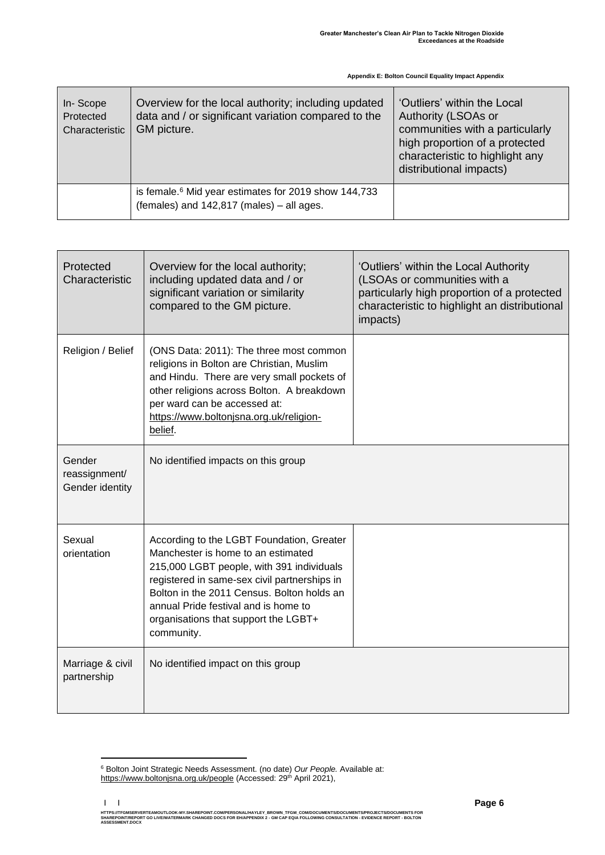| In-Scope<br>Protected<br>Characteristic | Overview for the local authority; including updated<br>data and / or significant variation compared to the<br>GM picture. | 'Outliers' within the Local<br>Authority (LSOAs or<br>communities with a particularly<br>high proportion of a protected<br>characteristic to highlight any<br>distributional impacts) |
|-----------------------------------------|---------------------------------------------------------------------------------------------------------------------------|---------------------------------------------------------------------------------------------------------------------------------------------------------------------------------------|
|                                         | is female. <sup>6</sup> Mid year estimates for 2019 show 144,733<br>(females) and 142,817 (males) - all ages.             |                                                                                                                                                                                       |

| Protected<br>Characteristic                | Overview for the local authority;<br>including updated data and / or<br>significant variation or similarity<br>compared to the GM picture.                                                                                                                                                                               | 'Outliers' within the Local Authority<br>(LSOAs or communities with a<br>particularly high proportion of a protected<br>characteristic to highlight an distributional<br>impacts) |
|--------------------------------------------|--------------------------------------------------------------------------------------------------------------------------------------------------------------------------------------------------------------------------------------------------------------------------------------------------------------------------|-----------------------------------------------------------------------------------------------------------------------------------------------------------------------------------|
| Religion / Belief                          | (ONS Data: 2011): The three most common<br>religions in Bolton are Christian, Muslim<br>and Hindu. There are very small pockets of<br>other religions across Bolton. A breakdown<br>per ward can be accessed at:<br>https://www.boltonjsna.org.uk/religion-<br>belief.                                                   |                                                                                                                                                                                   |
| Gender<br>reassignment/<br>Gender identity | No identified impacts on this group                                                                                                                                                                                                                                                                                      |                                                                                                                                                                                   |
| Sexual<br>orientation                      | According to the LGBT Foundation, Greater<br>Manchester is home to an estimated<br>215,000 LGBT people, with 391 individuals<br>registered in same-sex civil partnerships in<br>Bolton in the 2011 Census. Bolton holds an<br>annual Pride festival and is home to<br>organisations that support the LGBT+<br>community. |                                                                                                                                                                                   |
| Marriage & civil<br>partnership            | No identified impact on this group                                                                                                                                                                                                                                                                                       |                                                                                                                                                                                   |

<sup>6</sup> Bolton Joint Strategic Needs Assessment. (no date) *Our People.* Available at: <https://www.boltonjsna.org.uk/people> (Accessed: 29<sup>th</sup> April 2021),

**<sup>| |</sup>**  HTTPS://TFGMSERVERTEAMOUTLOOK-MY.SHAREPOINT.COM/PERSONAL/HAYLEY\_BROWN\_TFGM\_COM/DOCUMENTS/DOCUMENTS/PROJECTS/DOCUMENTS FOR<br>SHAREPOINT/REPORT GO LIVE/WATERMARK CHANGED DOCS FOR EH/APPENDIX 2 - GM CAP EQIA FOLLOWING CONSULTAT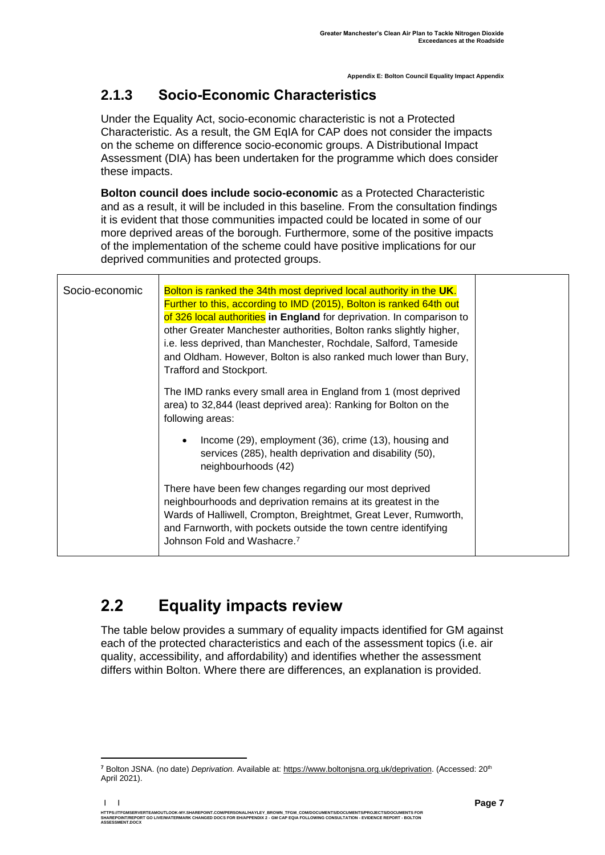### **2.1.3 Socio-Economic Characteristics**

Under the Equality Act, socio-economic characteristic is not a Protected Characteristic. As a result, the GM EqIA for CAP does not consider the impacts on the scheme on difference socio-economic groups. A Distributional Impact Assessment (DIA) has been undertaken for the programme which does consider these impacts.

**Bolton council does include socio-economic** as a Protected Characteristic and as a result, it will be included in this baseline*.* From the consultation findings it is evident that those communities impacted could be located in some of our more deprived areas of the borough. Furthermore, some of the positive impacts of the implementation of the scheme could have positive implications for our deprived communities and protected groups.

| Socio-economic | Bolton is ranked the 34th most deprived local authority in the UK.<br>Further to this, according to IMD (2015), Bolton is ranked 64th out<br>of 326 local authorities in England for deprivation. In comparison to<br>other Greater Manchester authorities, Bolton ranks slightly higher,<br>i.e. less deprived, than Manchester, Rochdale, Salford, Tameside<br>and Oldham. However, Bolton is also ranked much lower than Bury,<br>Trafford and Stockport. |  |
|----------------|--------------------------------------------------------------------------------------------------------------------------------------------------------------------------------------------------------------------------------------------------------------------------------------------------------------------------------------------------------------------------------------------------------------------------------------------------------------|--|
|                | The IMD ranks every small area in England from 1 (most deprived<br>area) to 32,844 (least deprived area): Ranking for Bolton on the<br>following areas:                                                                                                                                                                                                                                                                                                      |  |
|                | Income (29), employment (36), crime (13), housing and<br>$\bullet$<br>services (285), health deprivation and disability (50),<br>neighbourhoods (42)                                                                                                                                                                                                                                                                                                         |  |
|                | There have been few changes regarding our most deprived<br>neighbourhoods and deprivation remains at its greatest in the<br>Wards of Halliwell, Crompton, Breightmet, Great Lever, Rumworth,<br>and Farnworth, with pockets outside the town centre identifying<br>Johnson Fold and Washacre. <sup>7</sup>                                                                                                                                                   |  |

## <span id="page-8-0"></span>**2.2 Equality impacts review**

The table below provides a summary of equality impacts identified for GM against each of the protected characteristics and each of the assessment topics (i.e. air quality, accessibility, and affordability) and identifies whether the assessment differs within Bolton. Where there are differences, an explanation is provided.

**<sup>7</sup>** Bolton JSNA. (no date) *Deprivation.* Available at: [https://www.boltonjsna.org.uk/deprivation.](https://www.boltonjsna.org.uk/deprivation) (Accessed: 20th April 2021).

**<sup>| |</sup>**  HTTPS://TFGMSERVERTEAMOUTLOOK-MY.SHAREPOINT.COM/PERSONAL/HAYLEY\_BROWN\_TFGM\_COM/DOCUMENTS/DOCUMENTS/PROJECTS/DOCUMENTS FOR<br>SHAREPOINT/REPORT GO LIVE/WATERMARK CHANGED DOCS FOR EH/APPENDIX 2 - GM CAP EQIA FOLLOWING CONSULTAT **ASSESSMENT.DOCX**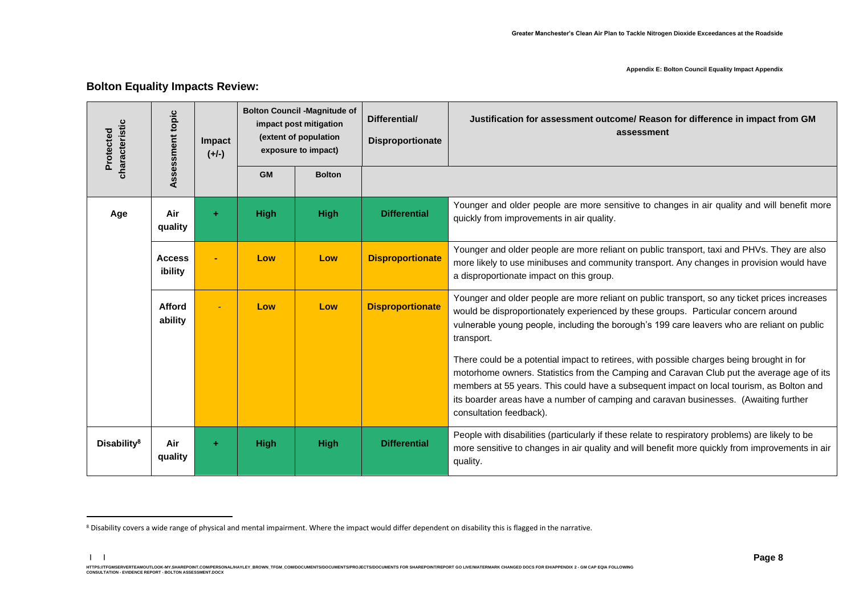| characteristic<br>Protected | Assessment topic         | <b>Impact</b><br>$(+/-)$ |             | <b>Bolton Council -Magnitude of</b><br>impact post mitigation<br>(extent of population<br>exposure to impact) | Differential/<br><b>Disproportionate</b> | Justification for assessment outcome/ Reason for difference in impact from GM<br>assessment                                                                                                                                                                                                                                                                                                           |
|-----------------------------|--------------------------|--------------------------|-------------|---------------------------------------------------------------------------------------------------------------|------------------------------------------|-------------------------------------------------------------------------------------------------------------------------------------------------------------------------------------------------------------------------------------------------------------------------------------------------------------------------------------------------------------------------------------------------------|
|                             |                          |                          | <b>GM</b>   | <b>Bolton</b>                                                                                                 |                                          |                                                                                                                                                                                                                                                                                                                                                                                                       |
| Age                         | Air<br>quality           | $+$                      | <b>High</b> | <b>High</b>                                                                                                   | <b>Differential</b>                      | Younger and older people are more sensitive to changes in air quality and will benefit more<br>quickly from improvements in air quality.                                                                                                                                                                                                                                                              |
|                             | <b>Access</b><br>ibility |                          | Low         | Low                                                                                                           | <b>Disproportionate</b>                  | Younger and older people are more reliant on public transport, taxi and PHVs. They are also<br>more likely to use minibuses and community transport. Any changes in provision would have<br>a disproportionate impact on this group.                                                                                                                                                                  |
|                             | <b>Afford</b><br>ability |                          | Low         | Low                                                                                                           | <b>Disproportionate</b>                  | Younger and older people are more reliant on public transport, so any ticket prices increases<br>would be disproportionately experienced by these groups. Particular concern around<br>vulnerable young people, including the borough's 199 care leavers who are reliant on public<br>transport.                                                                                                      |
|                             |                          |                          |             |                                                                                                               |                                          | There could be a potential impact to retirees, with possible charges being brought in for<br>motorhome owners. Statistics from the Camping and Caravan Club put the average age of its<br>members at 55 years. This could have a subsequent impact on local tourism, as Bolton and<br>its boarder areas have a number of camping and caravan businesses. (Awaiting further<br>consultation feedback). |
| Disability <sup>8</sup>     | Air<br>quality           | ٠                        | <b>High</b> | <b>High</b>                                                                                                   | <b>Differential</b>                      | People with disabilities (particularly if these relate to respiratory problems) are likely to be<br>more sensitive to changes in air quality and will benefit more quickly from improvements in air<br>quality.                                                                                                                                                                                       |

#### **Bolton Equality Impacts Review:**

<sup>&</sup>lt;sup>8</sup> Disability covers a wide range of physical and mental impairment. Where the impact would differ dependent on disability this is flagged in the narrative.

HTTPS://TEMBERVERTEMOUTLOOK-MY.SHAREPOINT.COM/PERSONAL/HAYLEY\_BROWN\_TFGM\_COM/DOCUMENTS/ROCUMENTS/RROJECTS/DOCUMENTS FOR SHAREPOINT/REPORT GO LIVE/WATERMARK CHANGED DOCS FOR EH/APPENDIX 2 - GM CAP EQIA FOLLOWING<br>CONSULTATIO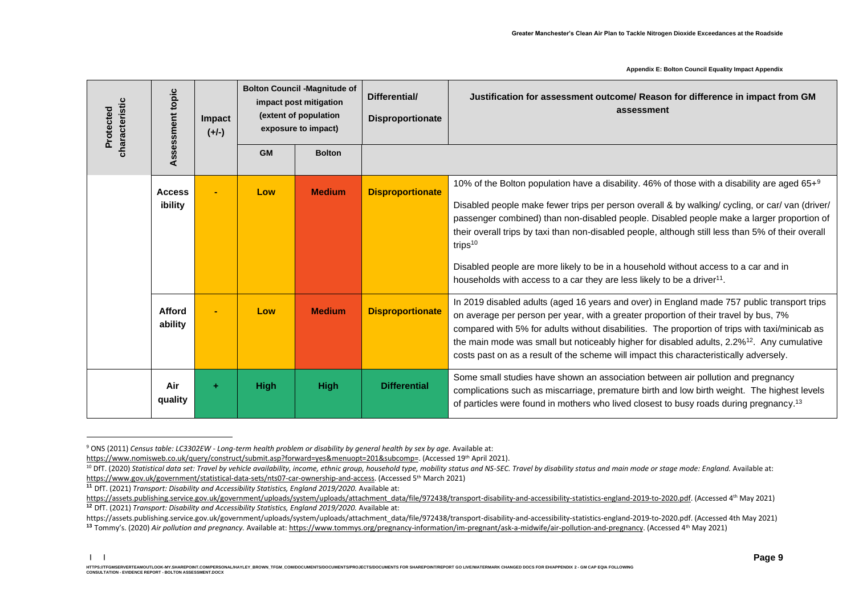| characteristic<br>Protected | ssment topic             | <b>Impact</b><br>$(+/-)$ |             | <b>Bolton Council -Magnitude of</b><br>impact post mitigation<br>(extent of population<br>exposure to impact) | Differential/<br><b>Disproportionate</b> | Justification for assessment outcome/ Reason for difference in impact from GM<br>assessment                                                                                                                                                                                                                                                                                                                                                                                                                                                                                                       |
|-----------------------------|--------------------------|--------------------------|-------------|---------------------------------------------------------------------------------------------------------------|------------------------------------------|---------------------------------------------------------------------------------------------------------------------------------------------------------------------------------------------------------------------------------------------------------------------------------------------------------------------------------------------------------------------------------------------------------------------------------------------------------------------------------------------------------------------------------------------------------------------------------------------------|
|                             | Asses                    |                          | <b>GM</b>   | <b>Bolton</b>                                                                                                 |                                          |                                                                                                                                                                                                                                                                                                                                                                                                                                                                                                                                                                                                   |
|                             | <b>Access</b><br>ibility |                          | Low         | <b>Medium</b>                                                                                                 | <b>Disproportionate</b>                  | 10% of the Bolton population have a disability. 46% of those with a disability are aged 65+ $9$<br>Disabled people make fewer trips per person overall & by walking/ cycling, or car/ van (driver/<br>passenger combined) than non-disabled people. Disabled people make a larger proportion of<br>their overall trips by taxi than non-disabled people, although still less than 5% of their overall<br>trips $10$<br>Disabled people are more likely to be in a household without access to a car and in<br>households with access to a car they are less likely to be a driver <sup>11</sup> . |
|                             | Afford<br>ability        |                          | Low         | <b>Medium</b>                                                                                                 | <b>Disproportionate</b>                  | In 2019 disabled adults (aged 16 years and over) in England made 757 public transport trips<br>on average per person per year, with a greater proportion of their travel by bus, 7%<br>compared with 5% for adults without disabilities. The proportion of trips with taxi/minicab as<br>the main mode was small but noticeably higher for disabled adults, 2.2% <sup>12</sup> . Any cumulative<br>costs past on as a result of the scheme will impact this characteristically adversely.                                                                                                         |
|                             | Air<br>quality           | ٠                        | <b>High</b> | <b>High</b>                                                                                                   | <b>Differential</b>                      | Some small studies have shown an association between air pollution and pregnancy<br>complications such as miscarriage, premature birth and low birth weight. The highest levels<br>of particles were found in mothers who lived closest to busy roads during pregnancy. <sup>13</sup>                                                                                                                                                                                                                                                                                                             |

<sup>9</sup> ONS (2011) *Census table: LC3302EW - Long-term health problem or disability by general health by sex by age.* Available at:

[https://www.nomisweb.co.uk/query/construct/submit.asp?forward=yes&menuopt=201&subcomp=.](https://www.nomisweb.co.uk/query/construct/submit.asp?forward=yes&menuopt=201&subcomp=) (Accessed 19th April 2021).

<sup>&</sup>lt;sup>10</sup> DfT. (2020) Statistical data set: Travel by vehicle availability, income, ethnic group, household type, mobility status and NS-SEC. Travel by disability status and main mode or stage mode: England. Available at: [https://www.gov.uk/government/statistical-data-sets/nts07-car-ownership-and-access.](https://www.gov.uk/government/statistical-data-sets/nts07-car-ownership-and-access) (Accessed 5 th March 2021)

**<sup>11</sup>** DfT. (2021) *Transport: Disability and Accessibility Statistics, England 2019/2020.* Available at:

[https://assets.publishing.service.gov.uk/government/uploads/system/uploads/attachment\\_data/file/972438/transport-disability-and-accessibility-statistics-england-2019-to-2020.pdf.](https://assets.publishing.service.gov.uk/government/uploads/system/uploads/attachment_data/file/972438/transport-disability-and-accessibility-statistics-england-2019-to-2020.pdf) (Accessed 4th May 2021) **<sup>12</sup>** DfT. (2021) *Transport: Disability and Accessibility Statistics, England 2019/2020.* Available at:

https://assets.publishing.service.gov.uk/government/uploads/system/uploads/attachment\_data/file/972438/transport-disability-and-accessibility-statistics-england-2019-to-2020.pdf. (Accessed 4th May 2021) <sup>13</sup> Tommy's. (2020) *Air pollution and pregnancy.* Available at[: https://www.tommys.org/pregnancy-information/im-pregnant/ask-a-midwife/air-pollution-and-pregnancy.](https://www.tommys.org/pregnancy-information/im-pregnant/ask-a-midwife/air-pollution-and-pregnancy) (Accessed 4<sup>th</sup> May 2021)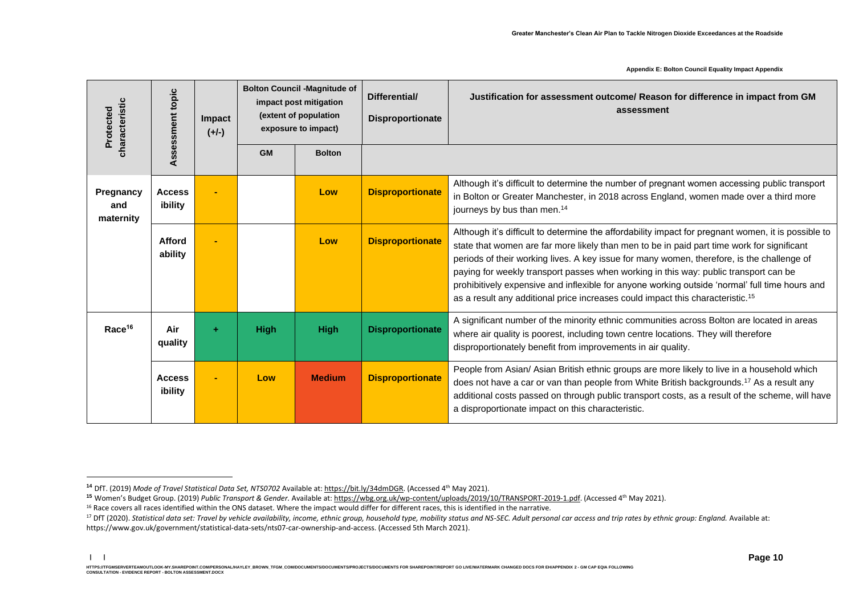| characteristic<br>Protected   | topic<br>Assessment      | <b>Impact</b><br>$(+/-)$ |             | <b>Bolton Council -Magnitude of</b><br>impact post mitigation<br>(extent of population<br>exposure to impact) | Differential/<br><b>Disproportionate</b> | Justification for assessment outcome/ Reason for difference in impact from GM<br>assessment                                                                                                                                                                                                                                                                                                                                                                                                                                                                                             |
|-------------------------------|--------------------------|--------------------------|-------------|---------------------------------------------------------------------------------------------------------------|------------------------------------------|-----------------------------------------------------------------------------------------------------------------------------------------------------------------------------------------------------------------------------------------------------------------------------------------------------------------------------------------------------------------------------------------------------------------------------------------------------------------------------------------------------------------------------------------------------------------------------------------|
|                               |                          |                          | <b>GM</b>   | <b>Bolton</b>                                                                                                 |                                          |                                                                                                                                                                                                                                                                                                                                                                                                                                                                                                                                                                                         |
| Pregnancy<br>and<br>maternity | <b>Access</b><br>ibility |                          |             | Low                                                                                                           | <b>Disproportionate</b>                  | Although it's difficult to determine the number of pregnant women accessing public transport<br>in Bolton or Greater Manchester, in 2018 across England, women made over a third more<br>journeys by bus than men. <sup>14</sup>                                                                                                                                                                                                                                                                                                                                                        |
|                               | Afford<br>ability        |                          |             | Low                                                                                                           | <b>Disproportionate</b>                  | Although it's difficult to determine the affordability impact for pregnant women, it is possible to<br>state that women are far more likely than men to be in paid part time work for significant<br>periods of their working lives. A key issue for many women, therefore, is the challenge of<br>paying for weekly transport passes when working in this way: public transport can be<br>prohibitively expensive and inflexible for anyone working outside 'normal' full time hours and<br>as a result any additional price increases could impact this characteristic. <sup>15</sup> |
| Race <sup>16</sup>            | Air<br>quality           | ÷                        | <b>High</b> | <b>High</b>                                                                                                   | <b>Disproportionate</b>                  | A significant number of the minority ethnic communities across Bolton are located in areas<br>where air quality is poorest, including town centre locations. They will therefore<br>disproportionately benefit from improvements in air quality.                                                                                                                                                                                                                                                                                                                                        |
|                               | <b>Access</b><br>ibility |                          | Low         | <b>Medium</b>                                                                                                 | <b>Disproportionate</b>                  | People from Asian/ Asian British ethnic groups are more likely to live in a household which<br>does not have a car or van than people from White British backgrounds. <sup>17</sup> As a result any<br>additional costs passed on through public transport costs, as a result of the scheme, will have<br>a disproportionate impact on this characteristic.                                                                                                                                                                                                                             |

**<sup>14</sup>** DfT. (2019) *Mode of Travel Statistical Data Set, NTS0702* Available at[: https://bit.ly/34dmDGR.](https://bit.ly/34dmDGR) (Accessed 4th May 2021).

**<sup>15</sup>** Women's Budget Group. (2019) *Public Transport & Gender.* Available at[: https://wbg.org.uk/wp-content/uploads/2019/10/TRANSPORT-2019-1.pdf.](https://wbg.org.uk/wp-content/uploads/2019/10/TRANSPORT-2019-1.pdf) (Accessed 4th May 2021).

<sup>&</sup>lt;sup>16</sup> Race covers all races identified within the ONS dataset. Where the impact would differ for different races, this is identified in the narrative.

<sup>&</sup>lt;sup>17</sup> DfT (2020). Statistical data set: Travel by vehicle availability, income, ethnic group, household type, mobility status and NS-SEC. Adult personal car access and trip rates by ethnic group: England. Available at: https://www.gov.uk/government/statistical-data-sets/nts07-car-ownership-and-access. (Accessed 5th March 2021).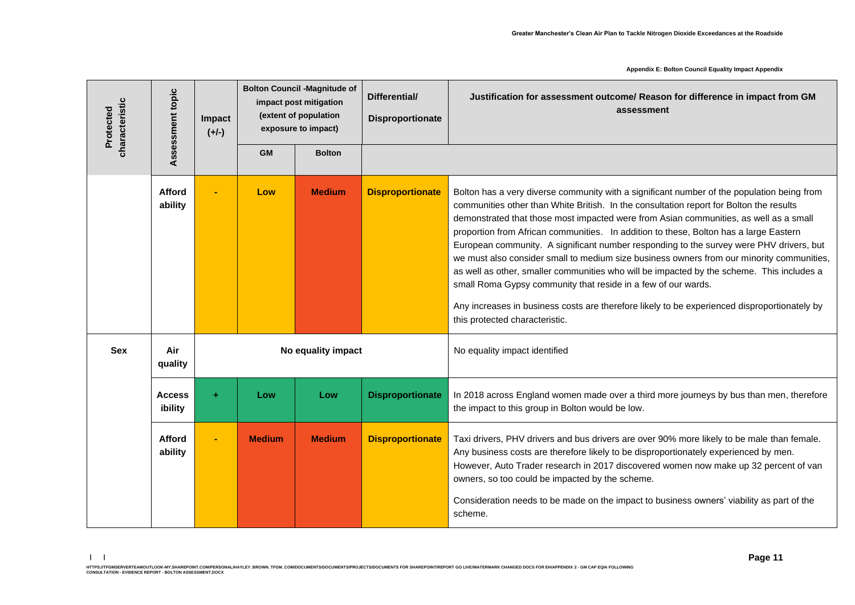| characteristic<br>Protected | Assessment topic         | Impact<br>$(+/-)$ |               | <b>Bolton Council -Magnitude of</b><br>impact post mitigation<br>(extent of population<br>exposure to impact) | Differential/<br><b>Disproportionate</b> | Justification for assessment outcome/ Reason for difference in impact from GM<br>assessment                                                                                                                                                                                                                                                                                                                                                                                                                                                                                                                                                                                                                                                                                                                                                                     |
|-----------------------------|--------------------------|-------------------|---------------|---------------------------------------------------------------------------------------------------------------|------------------------------------------|-----------------------------------------------------------------------------------------------------------------------------------------------------------------------------------------------------------------------------------------------------------------------------------------------------------------------------------------------------------------------------------------------------------------------------------------------------------------------------------------------------------------------------------------------------------------------------------------------------------------------------------------------------------------------------------------------------------------------------------------------------------------------------------------------------------------------------------------------------------------|
|                             |                          |                   | <b>GM</b>     | <b>Bolton</b>                                                                                                 |                                          |                                                                                                                                                                                                                                                                                                                                                                                                                                                                                                                                                                                                                                                                                                                                                                                                                                                                 |
|                             | Afford<br>ability        |                   | Low           | <b>Medium</b>                                                                                                 | <b>Disproportionate</b>                  | Bolton has a very diverse community with a significant number of the population being from<br>communities other than White British. In the consultation report for Bolton the results<br>demonstrated that those most impacted were from Asian communities, as well as a small<br>proportion from African communities. In addition to these, Bolton has a large Eastern<br>European community. A significant number responding to the survey were PHV drivers, but<br>we must also consider small to medium size business owners from our minority communities,<br>as well as other, smaller communities who will be impacted by the scheme. This includes a<br>small Roma Gypsy community that reside in a few of our wards.<br>Any increases in business costs are therefore likely to be experienced disproportionately by<br>this protected characteristic. |
| <b>Sex</b>                  | Air<br>quality           |                   |               | No equality impact                                                                                            |                                          | No equality impact identified                                                                                                                                                                                                                                                                                                                                                                                                                                                                                                                                                                                                                                                                                                                                                                                                                                   |
|                             | <b>Access</b><br>ibility | ÷.                | Low           | Low                                                                                                           | <b>Disproportionate</b>                  | In 2018 across England women made over a third more journeys by bus than men, therefore<br>the impact to this group in Bolton would be low.                                                                                                                                                                                                                                                                                                                                                                                                                                                                                                                                                                                                                                                                                                                     |
|                             | <b>Afford</b><br>ability |                   | <b>Medium</b> | <b>Medium</b>                                                                                                 | <b>Disproportionate</b>                  | Taxi drivers, PHV drivers and bus drivers are over 90% more likely to be male than female.<br>Any business costs are therefore likely to be disproportionately experienced by men.<br>However, Auto Trader research in 2017 discovered women now make up 32 percent of van<br>owners, so too could be impacted by the scheme.<br>Consideration needs to be made on the impact to business owners' viability as part of the<br>scheme.                                                                                                                                                                                                                                                                                                                                                                                                                           |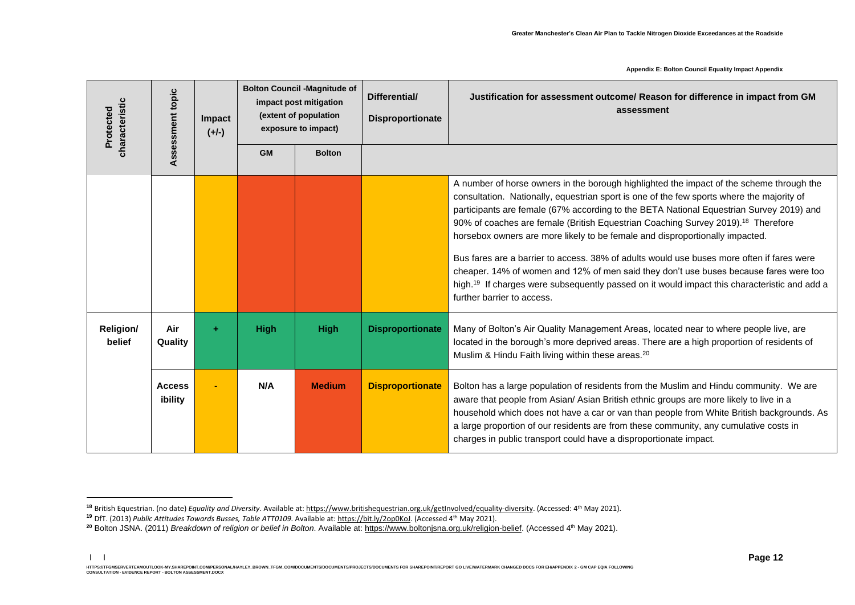| characteristic<br>Protected | Assessment topic         | Impact<br>$(+/-)$ | <b>Bolton Council -Magnitude of</b><br>impact post mitigation<br>(extent of population<br>exposure to impact) |               | Differential/<br><b>Disproportionate</b> | Justification for assessment outcome/ Reason for difference in impact from GM<br>assessment                                                                                                                                                                                                                                                                                                                                                                                                                                                                                                                                                                                                                                                                                                      |
|-----------------------------|--------------------------|-------------------|---------------------------------------------------------------------------------------------------------------|---------------|------------------------------------------|--------------------------------------------------------------------------------------------------------------------------------------------------------------------------------------------------------------------------------------------------------------------------------------------------------------------------------------------------------------------------------------------------------------------------------------------------------------------------------------------------------------------------------------------------------------------------------------------------------------------------------------------------------------------------------------------------------------------------------------------------------------------------------------------------|
|                             |                          |                   | <b>GM</b>                                                                                                     | <b>Bolton</b> |                                          |                                                                                                                                                                                                                                                                                                                                                                                                                                                                                                                                                                                                                                                                                                                                                                                                  |
|                             |                          |                   |                                                                                                               |               |                                          | A number of horse owners in the borough highlighted the impact of the scheme through the<br>consultation. Nationally, equestrian sport is one of the few sports where the majority of<br>participants are female (67% according to the BETA National Equestrian Survey 2019) and<br>90% of coaches are female (British Equestrian Coaching Survey 2019). <sup>18</sup> Therefore<br>horsebox owners are more likely to be female and disproportionally impacted.<br>Bus fares are a barrier to access. 38% of adults would use buses more often if fares were<br>cheaper. 14% of women and 12% of men said they don't use buses because fares were too<br>high. <sup>19</sup> If charges were subsequently passed on it would impact this characteristic and add a<br>further barrier to access. |
| <b>Religion/</b><br>belief  | Air<br>Quality           | ٠                 | <b>High</b>                                                                                                   | <b>High</b>   | <b>Disproportionate</b>                  | Many of Bolton's Air Quality Management Areas, located near to where people live, are<br>located in the borough's more deprived areas. There are a high proportion of residents of<br>Muslim & Hindu Faith living within these areas. <sup>20</sup>                                                                                                                                                                                                                                                                                                                                                                                                                                                                                                                                              |
|                             | <b>Access</b><br>ibility |                   | N/A                                                                                                           | <b>Medium</b> | <b>Disproportionate</b>                  | Bolton has a large population of residents from the Muslim and Hindu community. We are<br>aware that people from Asian/ Asian British ethnic groups are more likely to live in a<br>household which does not have a car or van than people from White British backgrounds. As<br>a large proportion of our residents are from these community, any cumulative costs in<br>charges in public transport could have a disproportionate impact.                                                                                                                                                                                                                                                                                                                                                      |

**<sup>18</sup>** British Equestrian. (no date) *Equality and Diversity*. Available at[: https://www.britishequestrian.org.uk/getInvolved/equality-diversity.](https://www.britishequestrian.org.uk/getInvolved/equality-diversity) (Accessed: 4th May 2021).

**<sup>19</sup>** DfT. (2013) *Public Attitudes Towards Busses, Table ATT0109.* Available at[: https://bit.ly/2op0KoJ.](https://bit.ly/2op0KoJ) (Accessed 4th May 2021).

**<sup>20</sup>** Bolton JSNA. (2011) *Breakdown of religion or belief in Bolton*. Available at[: https://www.boltonjsna.org.uk/religion-belief.](https://www.boltonjsna.org.uk/religion-belief) (Accessed 4th May 2021).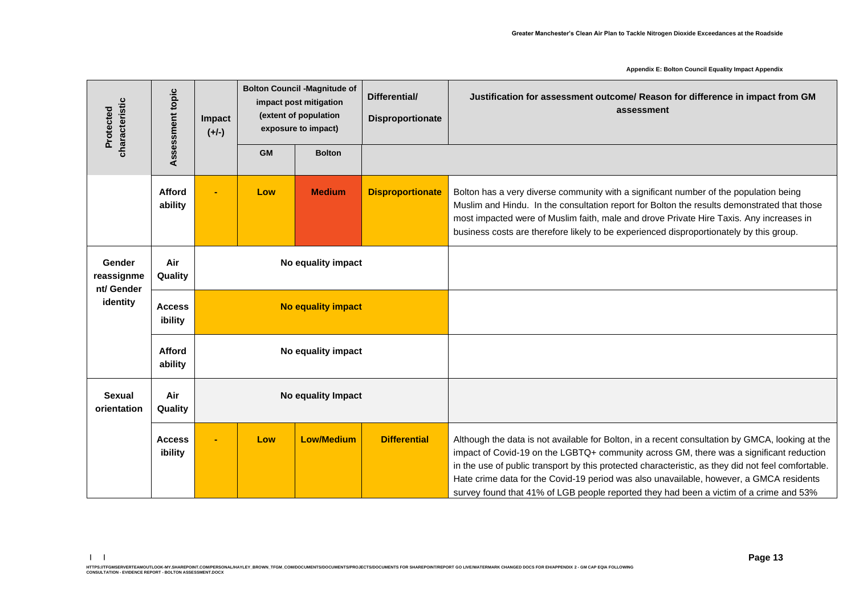| characteristic<br>Protected                    | Assessment topic                               | Impact<br>$(+/-)$  | <b>Bolton Council -Magnitude of</b><br>impact post mitigation<br>(extent of population<br>exposure to impact) |                           | Differential/<br><b>Disproportionate</b> | Justification for assessment outcome/ Reason for difference in impact from GM<br>assessment                                                                                                                                                                                                                                                                                                                                                                                           |
|------------------------------------------------|------------------------------------------------|--------------------|---------------------------------------------------------------------------------------------------------------|---------------------------|------------------------------------------|---------------------------------------------------------------------------------------------------------------------------------------------------------------------------------------------------------------------------------------------------------------------------------------------------------------------------------------------------------------------------------------------------------------------------------------------------------------------------------------|
|                                                |                                                |                    | <b>GM</b>                                                                                                     | <b>Bolton</b>             |                                          |                                                                                                                                                                                                                                                                                                                                                                                                                                                                                       |
|                                                | <b>Afford</b><br>ability                       |                    | Low                                                                                                           | <b>Medium</b>             | <b>Disproportionate</b>                  | Bolton has a very diverse community with a significant number of the population being<br>Muslim and Hindu. In the consultation report for Bolton the results demonstrated that those<br>most impacted were of Muslim faith, male and drove Private Hire Taxis. Any increases in<br>business costs are therefore likely to be experienced disproportionately by this group.                                                                                                            |
| Gender<br>reassignme<br>nt/ Gender<br>identity | Air<br>Quality                                 |                    |                                                                                                               | No equality impact        |                                          |                                                                                                                                                                                                                                                                                                                                                                                                                                                                                       |
|                                                | <b>Access</b><br>ibility                       |                    |                                                                                                               | <b>No equality impact</b> |                                          |                                                                                                                                                                                                                                                                                                                                                                                                                                                                                       |
|                                                | <b>Afford</b><br>No equality impact<br>ability |                    |                                                                                                               |                           |                                          |                                                                                                                                                                                                                                                                                                                                                                                                                                                                                       |
| <b>Sexual</b><br>orientation                   | Air<br>Quality                                 | No equality Impact |                                                                                                               |                           |                                          |                                                                                                                                                                                                                                                                                                                                                                                                                                                                                       |
|                                                | <b>Access</b><br>ibility                       |                    | Low                                                                                                           | <b>Low/Medium</b>         | <b>Differential</b>                      | Although the data is not available for Bolton, in a recent consultation by GMCA, looking at the<br>impact of Covid-19 on the LGBTQ+ community across GM, there was a significant reduction<br>in the use of public transport by this protected characteristic, as they did not feel comfortable.<br>Hate crime data for the Covid-19 period was also unavailable, however, a GMCA residents<br>survey found that 41% of LGB people reported they had been a victim of a crime and 53% |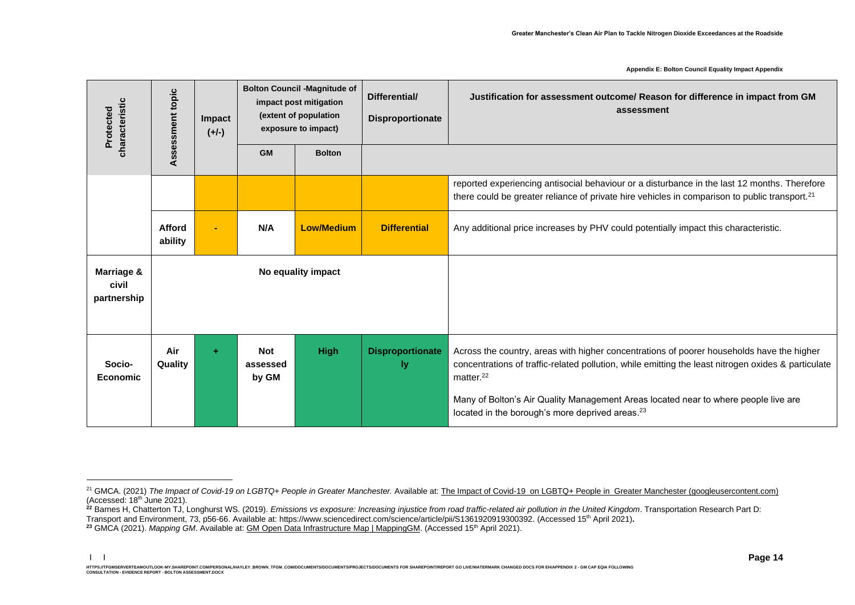| characteristic<br>Protected        | Assessment topic   | <b>Impact</b><br>$(+/-)$ | <b>Bolton Council -Magnitude of</b><br>impact post mitigation<br>(extent of population<br>exposure to impact) |                   | Differential/<br><b>Disproportionate</b> | Justification for assessment outcome/ Reason for difference in impact from GM<br>assessment                                                                                                                                                                                                                                                                               |
|------------------------------------|--------------------|--------------------------|---------------------------------------------------------------------------------------------------------------|-------------------|------------------------------------------|---------------------------------------------------------------------------------------------------------------------------------------------------------------------------------------------------------------------------------------------------------------------------------------------------------------------------------------------------------------------------|
|                                    |                    |                          | <b>GM</b>                                                                                                     | <b>Bolton</b>     |                                          |                                                                                                                                                                                                                                                                                                                                                                           |
|                                    |                    |                          |                                                                                                               |                   |                                          | reported experiencing antisocial behaviour or a disturbance in the last 12 months. Therefore<br>there could be greater reliance of private hire vehicles in comparison to public transport. <sup>21</sup>                                                                                                                                                                 |
|                                    | Afford<br>ability  |                          | N/A                                                                                                           | <b>Low/Medium</b> | <b>Differential</b>                      | Any additional price increases by PHV could potentially impact this characteristic.                                                                                                                                                                                                                                                                                       |
| Marriage &<br>civil<br>partnership | No equality impact |                          |                                                                                                               |                   |                                          |                                                                                                                                                                                                                                                                                                                                                                           |
| Socio-<br><b>Economic</b>          | Air<br>Quality     | ÷                        | <b>Not</b><br>assessed<br>by GM                                                                               | <b>High</b>       | <b>Disproportionate</b><br>ly.           | Across the country, areas with higher concentrations of poorer households have the higher<br>concentrations of traffic-related pollution, while emitting the least nitrogen oxides & particulate<br>matter. $^{22}$<br>Many of Bolton's Air Quality Management Areas located near to where people live are<br>located in the borough's more deprived areas. <sup>23</sup> |

<sup>&</sup>lt;sup>21</sup> GMCA. (2021) *The Impact of Covid-19 on LGBTQ+ People in Greater Manchester.* Available at: The Impact of Covid-19 on LGBTQ+ People in [Greater Manchester \(googleusercontent.com\)](https://webcache.googleusercontent.com/search?q=cache:N4CqYA9_1n0J:https://www.gmcvo.org.uk/system/files/The%2520Impact%2520of%2520Covid-19%2520on%2520LGBTQ%252B%2520People_%2520Final%2520Report_%2520February%25202021.pdf+&cd=1&hl=en&ct=clnk&gl=uk)  $(Accessed: 18<sup>th</sup>)$  June 2021).

<sup>&</sup>lt;sup>22</sup> Barnes H, Chatterton TJ, Longhurst WS. (2019). *Emissions vs exposure: Increasing injustice from road traffic-related air pollution in the United Kingdom*. Transportation Research Part D: Transport and Environment, 73, p56-66. Available at: https://www.sciencedirect.com/science/article/pii/S1361920919300392. (Accessed 15th April 2021)**.**

**<sup>23</sup>** GMCA (2021). *Mapping GM*. Available at: [GM Open Data Infrastructure Map | MappingGM.](https://mappinggm.org.uk/gmodin/?lyrs=gm_boundaries,v_ons_imd_2019,aqmas_gm#os_maps_light/13/53.5700/-2.4417) (Accessed 15th April 2021).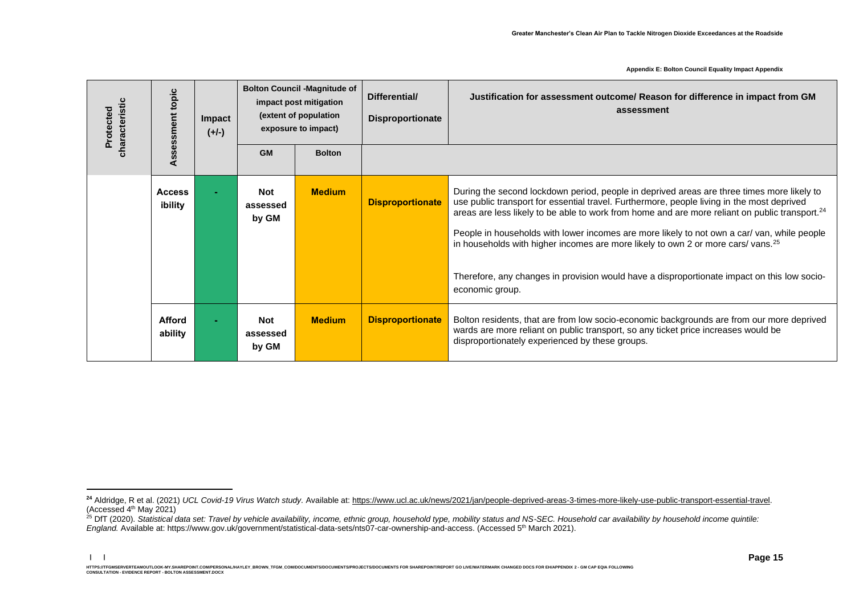| characteristic<br>Protected |  | topic<br>Assessment      | <b>Impact</b><br>$(+/-)$ | <b>Bolton Council -Magnitude of</b><br>impact post mitigation<br>(extent of population<br>exposure to impact) |               | Differential/<br><b>Disproportionate</b> | Justification for assessment outcome/ Reason for difference in impact from GM<br>assessment                                                                                                                                                                                                                                                                                                                                                                                                                                                                                                                            |
|-----------------------------|--|--------------------------|--------------------------|---------------------------------------------------------------------------------------------------------------|---------------|------------------------------------------|------------------------------------------------------------------------------------------------------------------------------------------------------------------------------------------------------------------------------------------------------------------------------------------------------------------------------------------------------------------------------------------------------------------------------------------------------------------------------------------------------------------------------------------------------------------------------------------------------------------------|
|                             |  |                          |                          | <b>GM</b>                                                                                                     | <b>Bolton</b> |                                          |                                                                                                                                                                                                                                                                                                                                                                                                                                                                                                                                                                                                                        |
|                             |  | <b>Access</b><br>ibility |                          | <b>Not</b><br>assessed<br>by GM                                                                               | <b>Medium</b> | <b>Disproportionate</b>                  | During the second lockdown period, people in deprived areas are three times more likely to<br>use public transport for essential travel. Furthermore, people living in the most deprived<br>areas are less likely to be able to work from home and are more reliant on public transport. <sup>24</sup><br>People in households with lower incomes are more likely to not own a car/ van, while people<br>in households with higher incomes are more likely to own 2 or more cars/vans. <sup>25</sup><br>Therefore, any changes in provision would have a disproportionate impact on this low socio-<br>economic group. |
|                             |  | Afford<br>ability        |                          | <b>Not</b><br>assessed<br>by GM                                                                               | <b>Medium</b> | <b>Disproportionate</b>                  | Bolton residents, that are from low socio-economic backgrounds are from our more deprived<br>wards are more reliant on public transport, so any ticket price increases would be<br>disproportionately experienced by these groups.                                                                                                                                                                                                                                                                                                                                                                                     |

<sup>&</sup>lt;sup>24</sup> Aldridge, R et al. (2021) *UCL Covid-19 Virus Watch study.* Available at[: https://www.ucl.ac.uk/news/2021/jan/people-deprived-areas-3-times-more-likely-use-public-transport-essential-travel.](https://www.ucl.ac.uk/news/2021/jan/people-deprived-areas-3-times-more-likely-use-public-transport-essential-travel) (Accessed 4th May 2021)

<sup>&</sup>lt;sup>25</sup> DfT (2020). Statistical data set: Travel by vehicle availability, income, ethnic group, household type, mobility status and NS-SEC. Household car availability by household income quintile: England. Available at: https://www.gov.uk/government/statistical-data-sets/nts07-car-ownership-and-access. (Accessed 5<sup>th</sup> March 2021).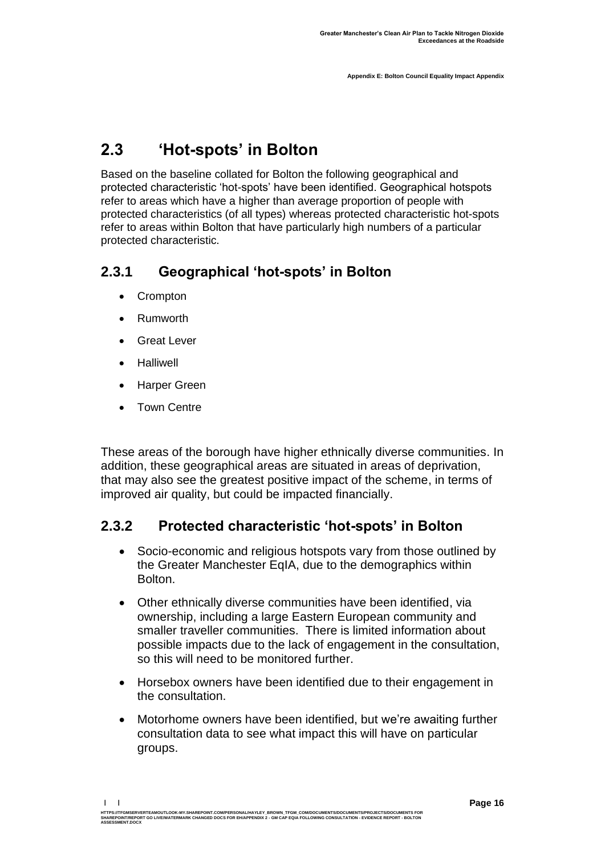## <span id="page-17-0"></span>**2.3 'Hot-spots' in Bolton**

Based on the baseline collated for Bolton the following geographical and protected characteristic 'hot-spots' have been identified. Geographical hotspots refer to areas which have a higher than average proportion of people with protected characteristics (of all types) whereas protected characteristic hot-spots refer to areas within Bolton that have particularly high numbers of a particular protected characteristic.

### **2.3.1 Geographical 'hot-spots' in Bolton**

- Crompton
- Rumworth
- Great Lever
- Halliwell
- Harper Green
- Town Centre

These areas of the borough have higher ethnically diverse communities. In addition, these geographical areas are situated in areas of deprivation, that may also see the greatest positive impact of the scheme, in terms of improved air quality, but could be impacted financially.

### **2.3.2 Protected characteristic 'hot-spots' in Bolton**

- Socio-economic and religious hotspots vary from those outlined by the Greater Manchester EqIA, due to the demographics within Bolton.
- Other ethnically diverse communities have been identified, via ownership, including a large Eastern European community and smaller traveller communities. There is limited information about possible impacts due to the lack of engagement in the consultation, so this will need to be monitored further.
- Horsebox owners have been identified due to their engagement in the consultation.
- Motorhome owners have been identified, but we're awaiting further consultation data to see what impact this will have on particular groups.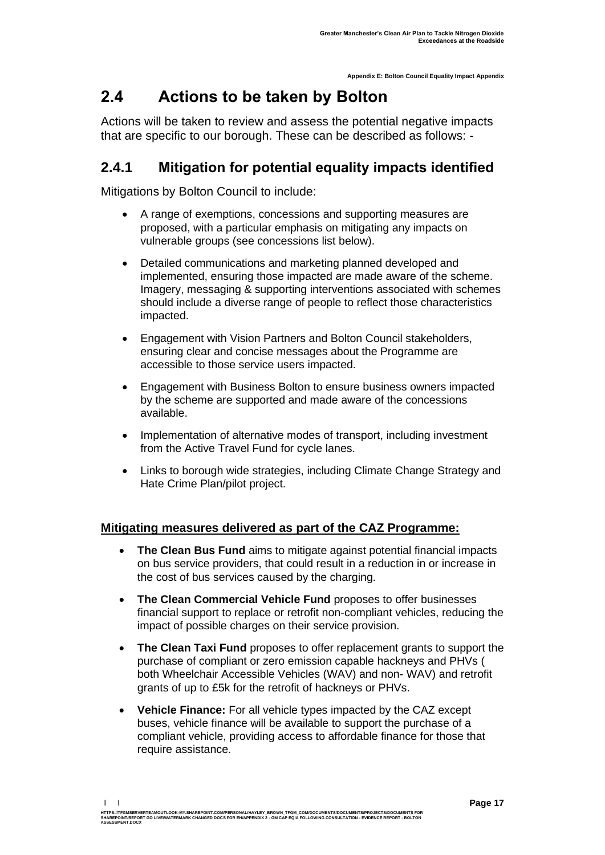## <span id="page-18-0"></span>**2.4 Actions to be taken by Bolton**

Actions will be taken to review and assess the potential negative impacts that are specific to our borough. These can be described as follows: -

### **2.4.1 Mitigation for potential equality impacts identified**

Mitigations by Bolton Council to include:

- A range of exemptions, concessions and supporting measures are proposed, with a particular emphasis on mitigating any impacts on vulnerable groups (see concessions list below).
- Detailed communications and marketing planned developed and implemented, ensuring those impacted are made aware of the scheme. Imagery, messaging & supporting interventions associated with schemes should include a diverse range of people to reflect those characteristics impacted.
- Engagement with Vision Partners and Bolton Council stakeholders, ensuring clear and concise messages about the Programme are accessible to those service users impacted.
- Engagement with Business Bolton to ensure business owners impacted by the scheme are supported and made aware of the concessions available.
- Implementation of alternative modes of transport, including investment from the Active Travel Fund for cycle lanes.
- Links to borough wide strategies, including Climate Change Strategy and Hate Crime Plan/pilot project.

#### **Mitigating measures delivered as part of the CAZ Programme:**

- **The Clean Bus Fund** aims to mitigate against potential financial impacts on bus service providers, that could result in a reduction in or increase in the cost of bus services caused by the charging.
- **The Clean Commercial Vehicle Fund** proposes to offer businesses financial support to replace or retrofit non-compliant vehicles, reducing the impact of possible charges on their service provision.
- **The Clean Taxi Fund** proposes to offer replacement grants to support the purchase of compliant or zero emission capable hackneys and PHVs ( both Wheelchair Accessible Vehicles (WAV) and non- WAV) and retrofit grants of up to £5k for the retrofit of hackneys or PHVs.
- **Vehicle Finance:** For all vehicle types impacted by the CAZ except buses, vehicle finance will be available to support the purchase of a compliant vehicle, providing access to affordable finance for those that require assistance.

**<sup>| |</sup>**  HTTPS://TFGMSERVERTEAMOUTLOOK-MY.SHAREPOINT.COM/PERSONAL/HAYLEY\_BROWN\_TFGM\_COM/DOCUMENTS/DOCUMENTS/PROJECTS/DOCUMENTS FOR<br>SHAREPOINT/REPORT GO LIVE/WATERMARK CHANGED DOCS FOR EH/APPENDIX 2 - GM CAP EQIA FOLLOWING CONSULTAT **ASSESSMENT.DOCX**